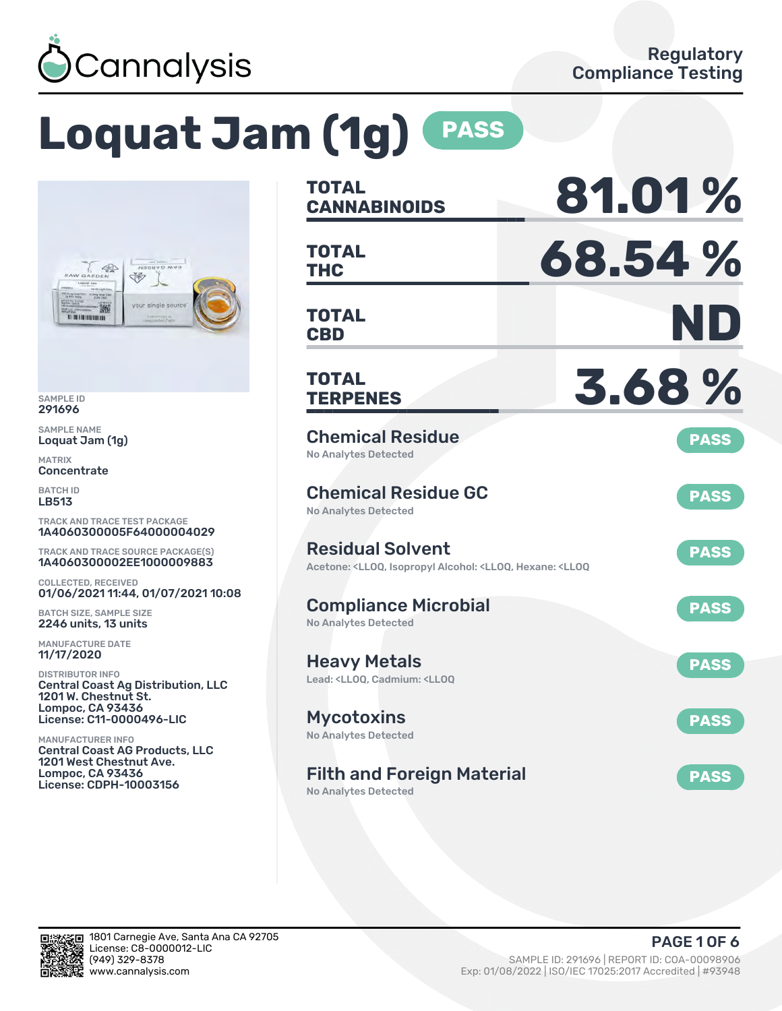

# **Loquat Jam (1g) PASS**



SAMPLE ID 291696

SAMPLE NAME Loquat Jam (1g)

MATRIX **Concentrate** 

BATCH ID LB513

TRACK AND TRACE TEST PACKAGE 1A4060300005F64000004029

TRACK AND TRACE SOURCE PACKAGE(S) 1A4060300002EE1000009883

COLLECTED, RECEIVED 01/06/2021 11:44, 01/07/2021 10:08

BATCH SIZE, SAMPLE SIZE 2246 units, 13 units

MANUFACTURE DATE 11/17/2020

DISTRIBUTOR INFO Central Coast Ag Distribution, LLC 1201 W. Chestnut St. Lompoc, CA 93436 License: C11-0000496-LIC

MANUFACTURER INFO Central Coast AG Products, LLC 1201 West Chestnut Ave. Lompoc, CA 93436 License: CDPH-10003156

| <b>TOTAL</b><br><b>CANNABINOIDS</b>                                                                                                   | 81.01%      |
|---------------------------------------------------------------------------------------------------------------------------------------|-------------|
| <b>TOTAL</b><br><b>THC</b>                                                                                                            | 68.54%      |
| <b>TOTAL</b><br><b>CBD</b>                                                                                                            | ND          |
| <b>TOTAL</b><br><b>TERPENES</b>                                                                                                       | 3.68%       |
| <b>Chemical Residue</b><br><b>No Analytes Detected</b>                                                                                | <b>PASS</b> |
| <b>Chemical Residue GC</b><br><b>No Analytes Detected</b>                                                                             | <b>PASS</b> |
| <b>Residual Solvent</b><br>Acetone: <ll0q, <ll0q,="" <ll0q<="" alcohol:="" hexane:="" isopropyl="" td=""><td><b>PASS</b></td></ll0q,> | <b>PASS</b> |
| <b>Compliance Microbial</b><br><b>No Analytes Detected</b>                                                                            | <b>PASS</b> |
| <b>Heavy Metals</b><br>Lead: <ll00, <ll00<="" cadmium:="" td=""><td><b>PASS</b></td></ll00,>                                          | <b>PASS</b> |
| <b>Mycotoxins</b><br>No Analytes Detected                                                                                             | <b>PASS</b> |
| <b>Filth and Foreign Material</b><br><b>No Analytes Detected</b>                                                                      | <b>PASS</b> |

in.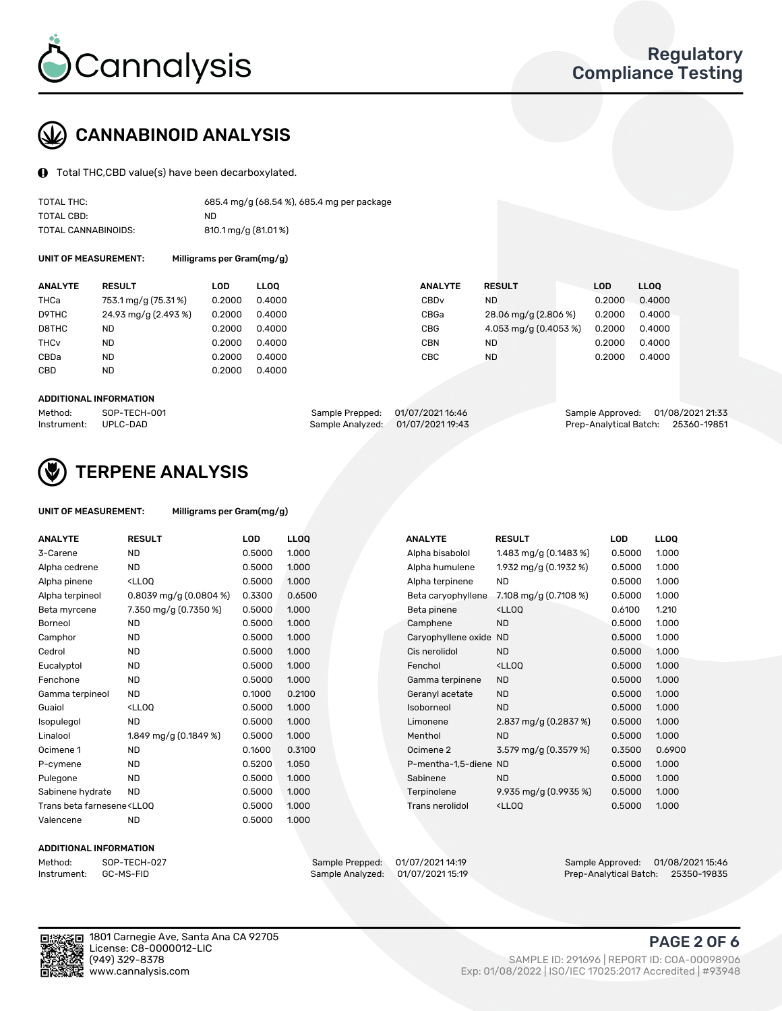

## CANNABINOID ANALYSIS

Total THC,CBD value(s) have been decarboxylated.

| TOTAL THC:          | 685.4 mg/g (68.54 %), 685.4 mg per package |
|---------------------|--------------------------------------------|
| TOTAL CBD:          | ND.                                        |
| TOTAL CANNABINOIDS: | 810.1 mg/g (81.01 %)                       |

UNIT OF MEASUREMENT: Milligrams per Gram(mg/g)

| <b>RESULT</b>        |                                                                 | <b>ANALYTE</b>                                                          | <b>LOD</b>                                                                                     | LL <sub>00</sub> |
|----------------------|-----------------------------------------------------------------|-------------------------------------------------------------------------|------------------------------------------------------------------------------------------------|------------------|
| 753.1 mg/g (75.31%)  |                                                                 | CBD <sub>v</sub>                                                        | 0.2000                                                                                         | 0.4000           |
| 24.93 mg/g (2.493 %) |                                                                 | CBGa                                                                    | 0.2000                                                                                         | 0.4000           |
|                      |                                                                 | <b>CBG</b>                                                              | 0.2000                                                                                         | 0.4000           |
|                      |                                                                 | <b>CBN</b>                                                              | 0.2000                                                                                         | 0.4000           |
|                      |                                                                 | CBC                                                                     | 0.2000                                                                                         | 0.4000           |
|                      |                                                                 |                                                                         |                                                                                                |                  |
|                      | LOD<br>0.2000<br>0.2000<br>0.2000<br>0.2000<br>0.2000<br>0.2000 | <b>LLOO</b><br>0.4000<br>0.4000<br>0.4000<br>0.4000<br>0.4000<br>0.4000 | <b>RESULT</b><br>ND<br>28.06 mg/g (2.806 %)<br>4.053 mg/g (0.4053 %)<br><b>ND</b><br><b>ND</b> |                  |

#### ADDITIONAL INFORMATION

| Method:              | SOP-TECH-001 | Sample Prepped: 01/07/2021 16:46 |                                   | Sample Approved: 01/08/2021 21:33  |  |
|----------------------|--------------|----------------------------------|-----------------------------------|------------------------------------|--|
| Instrument: UPLC-DAD |              |                                  | Sample Analyzed: 01/07/2021 19:43 | Prep-Analytical Batch: 25360-19851 |  |



## TERPENE ANALYSIS

| UNIT OF MEASUREMENT: | Milligrams per Gram(mg/g) |
|----------------------|---------------------------|
|                      |                           |

| <b>ANALYTE</b>                                                                                                                                                      | <b>RESULT</b>                                                                                                             | LOD    | <b>LLOQ</b> | <b>ANALYTE</b>         | <b>RESULT</b>                                      | <b>LOD</b> | <b>LLOQ</b> |
|---------------------------------------------------------------------------------------------------------------------------------------------------------------------|---------------------------------------------------------------------------------------------------------------------------|--------|-------------|------------------------|----------------------------------------------------|------------|-------------|
| 3-Carene                                                                                                                                                            | <b>ND</b>                                                                                                                 | 0.5000 | 1.000       | Alpha bisabolol        | 1.483 mg/g $(0.1483\%)$                            | 0.5000     | 1.000       |
| Alpha cedrene                                                                                                                                                       | <b>ND</b>                                                                                                                 | 0.5000 | 1.000       | Alpha humulene         | 1.932 mg/g (0.1932 %)                              | 0.5000     | 1.000       |
| Alpha pinene                                                                                                                                                        | <lloq< td=""><td>0.5000</td><td>1.000</td><td>Alpha terpinene</td><td><b>ND</b></td><td>0.5000</td><td>1.000</td></lloq<> | 0.5000 | 1.000       | Alpha terpinene        | <b>ND</b>                                          | 0.5000     | 1.000       |
| Alpha terpineol                                                                                                                                                     | 0.8039 mg/g (0.0804 %)                                                                                                    | 0.3300 | 0.6500      | Beta caryophyllene     | 7.108 mg/g $(0.7108\%)$                            | 0.5000     | 1.000       |
| Beta myrcene                                                                                                                                                        | 7.350 mg/g (0.7350 %)                                                                                                     | 0.5000 | 1.000       | Beta pinene            | <ll0q< td=""><td>0.6100</td><td>1.210</td></ll0q<> | 0.6100     | 1.210       |
| Borneol                                                                                                                                                             | <b>ND</b>                                                                                                                 | 0.5000 | 1.000       | Camphene               | <b>ND</b>                                          | 0.5000     | 1.000       |
| Camphor                                                                                                                                                             | <b>ND</b>                                                                                                                 | 0.5000 | 1.000       | Caryophyllene oxide ND |                                                    | 0.5000     | 1.000       |
| Cedrol                                                                                                                                                              | <b>ND</b>                                                                                                                 | 0.5000 | 1.000       | Cis nerolidol          | <b>ND</b>                                          | 0.5000     | 1.000       |
| Eucalyptol                                                                                                                                                          | <b>ND</b>                                                                                                                 | 0.5000 | 1.000       | Fenchol                | <ll0q< td=""><td>0.5000</td><td>1.000</td></ll0q<> | 0.5000     | 1.000       |
| Fenchone                                                                                                                                                            | <b>ND</b>                                                                                                                 | 0.5000 | 1.000       | Gamma terpinene        | <b>ND</b>                                          | 0.5000     | 1.000       |
| Gamma terpineol                                                                                                                                                     | <b>ND</b>                                                                                                                 | 0.1000 | 0.2100      | Geranyl acetate        | <b>ND</b>                                          | 0.5000     | 1.000       |
| Guaiol                                                                                                                                                              | <lloq< td=""><td>0.5000</td><td>1.000</td><td>Isoborneol</td><td><b>ND</b></td><td>0.5000</td><td>1.000</td></lloq<>      | 0.5000 | 1.000       | Isoborneol             | <b>ND</b>                                          | 0.5000     | 1.000       |
| Isopulegol                                                                                                                                                          | <b>ND</b>                                                                                                                 | 0.5000 | 1.000       | Limonene               | 2.837 mg/g (0.2837 %)                              | 0.5000     | 1.000       |
| Linalool                                                                                                                                                            | 1.849 mg/g (0.1849 %)                                                                                                     | 0.5000 | 1.000       | Menthol                | <b>ND</b>                                          | 0.5000     | 1.000       |
| Ocimene 1                                                                                                                                                           | <b>ND</b>                                                                                                                 | 0.1600 | 0.3100      | Ocimene 2              | 3.579 mg/g (0.3579 %)                              | 0.3500     | 0.6900      |
| P-cymene                                                                                                                                                            | <b>ND</b>                                                                                                                 | 0.5200 | 1.050       | P-mentha-1,5-diene ND  |                                                    | 0.5000     | 1.000       |
| Pulegone                                                                                                                                                            | <b>ND</b>                                                                                                                 | 0.5000 | 1.000       | Sabinene               | <b>ND</b>                                          | 0.5000     | 1.000       |
| Sabinene hydrate                                                                                                                                                    | <b>ND</b>                                                                                                                 | 0.5000 | 1.000       | Terpinolene            | 9.935 mg/g $(0.9935\%)$                            | 0.5000     | 1.000       |
| Trans beta farnesene <ll00< td=""><td></td><td>0.5000</td><td>1.000</td><td>Trans nerolidol</td><td><ll0q< td=""><td>0.5000</td><td>1.000</td></ll0q<></td></ll00<> |                                                                                                                           | 0.5000 | 1.000       | Trans nerolidol        | <ll0q< td=""><td>0.5000</td><td>1.000</td></ll0q<> | 0.5000     | 1.000       |
| Valencene                                                                                                                                                           | <b>ND</b>                                                                                                                 | 0.5000 | 1.000       |                        |                                                    |            |             |

#### ADDITIONAL INFORMATION



Method: SOP-TECH-027 Sample Prepped: 01/07/2021 14:19 Sample Approved: 01/08/2021 15:46 Prep-Analytical Batch: 25350-19835



1801 Carnegie Ave, Santa Ana CA 92705 License: C8-0000012-LIC<br>(949) 329-8378

#### PAGE 2 OF 6

(949) 329-8378 SAMPLE ID: 291696 | REPORT ID: COA-00098906 Exp: 01/08/2022 | ISO/IEC 17025:2017 Accredited | #93948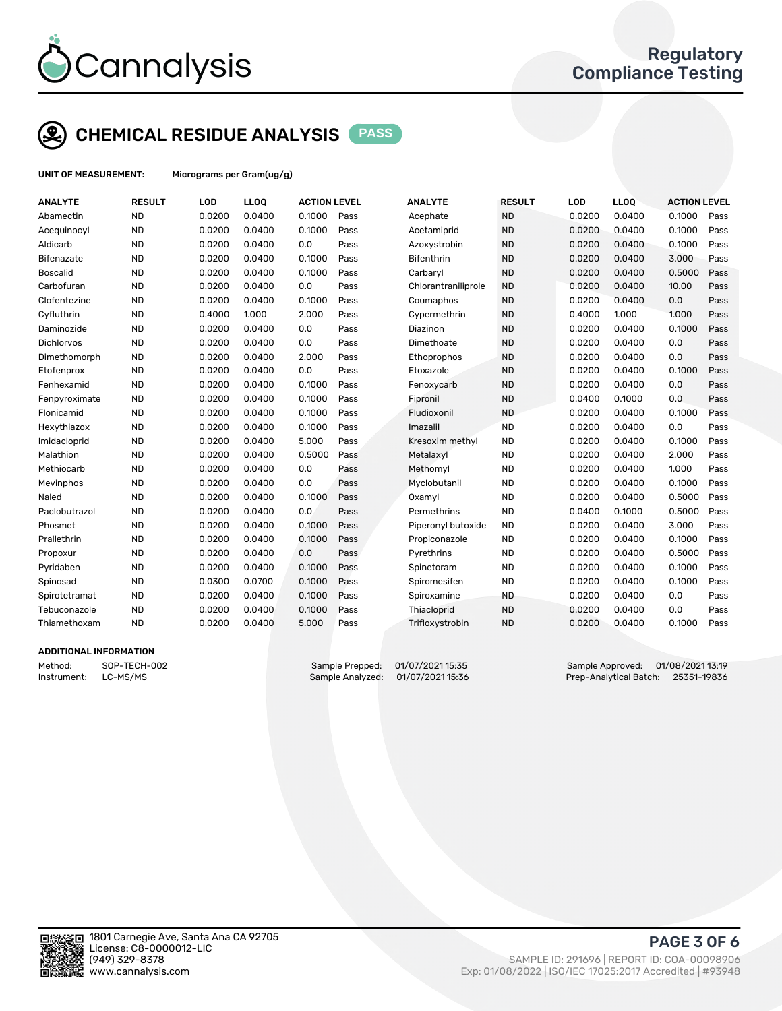

## CHEMICAL RESIDUE ANALYSIS PASS

UNIT OF MEASUREMENT: Micrograms per Gram(ug/g)

| <b>ANALYTE</b>  | <b>RESULT</b> | LOD    | LLOQ   | <b>ACTION LEVEL</b> |      | <b>ANALYTE</b>      | <b>RESULT</b> | LOD    | <b>LLOQ</b> | <b>ACTION LEVEL</b> |      |
|-----------------|---------------|--------|--------|---------------------|------|---------------------|---------------|--------|-------------|---------------------|------|
| Abamectin       | <b>ND</b>     | 0.0200 | 0.0400 | 0.1000              | Pass | Acephate            | <b>ND</b>     | 0.0200 | 0.0400      | 0.1000              | Pass |
| Acequinocyl     | <b>ND</b>     | 0.0200 | 0.0400 | 0.1000              | Pass | Acetamiprid         | <b>ND</b>     | 0.0200 | 0.0400      | 0.1000              | Pass |
| Aldicarb        | <b>ND</b>     | 0.0200 | 0.0400 | 0.0                 | Pass | Azoxystrobin        | <b>ND</b>     | 0.0200 | 0.0400      | 0.1000              | Pass |
| Bifenazate      | <b>ND</b>     | 0.0200 | 0.0400 | 0.1000              | Pass | Bifenthrin          | <b>ND</b>     | 0.0200 | 0.0400      | 3.000               | Pass |
| <b>Boscalid</b> | <b>ND</b>     | 0.0200 | 0.0400 | 0.1000              | Pass | Carbaryl            | <b>ND</b>     | 0.0200 | 0.0400      | 0.5000              | Pass |
| Carbofuran      | <b>ND</b>     | 0.0200 | 0.0400 | 0.0                 | Pass | Chlorantraniliprole | <b>ND</b>     | 0.0200 | 0.0400      | 10.00               | Pass |
| Clofentezine    | <b>ND</b>     | 0.0200 | 0.0400 | 0.1000              | Pass | Coumaphos           | <b>ND</b>     | 0.0200 | 0.0400      | 0.0                 | Pass |
| Cyfluthrin      | <b>ND</b>     | 0.4000 | 1.000  | 2.000               | Pass | Cypermethrin        | <b>ND</b>     | 0.4000 | 1.000       | 1.000               | Pass |
| Daminozide      | <b>ND</b>     | 0.0200 | 0.0400 | 0.0                 | Pass | Diazinon            | <b>ND</b>     | 0.0200 | 0.0400      | 0.1000              | Pass |
| Dichlorvos      | <b>ND</b>     | 0.0200 | 0.0400 | 0.0                 | Pass | Dimethoate          | <b>ND</b>     | 0.0200 | 0.0400      | 0.0                 | Pass |
| Dimethomorph    | <b>ND</b>     | 0.0200 | 0.0400 | 2.000               | Pass | Ethoprophos         | <b>ND</b>     | 0.0200 | 0.0400      | 0.0                 | Pass |
| Etofenprox      | <b>ND</b>     | 0.0200 | 0.0400 | 0.0                 | Pass | Etoxazole           | <b>ND</b>     | 0.0200 | 0.0400      | 0.1000              | Pass |
| Fenhexamid      | <b>ND</b>     | 0.0200 | 0.0400 | 0.1000              | Pass | Fenoxycarb          | <b>ND</b>     | 0.0200 | 0.0400      | 0.0                 | Pass |
| Fenpyroximate   | <b>ND</b>     | 0.0200 | 0.0400 | 0.1000              | Pass | Fipronil            | <b>ND</b>     | 0.0400 | 0.1000      | 0.0                 | Pass |
| Flonicamid      | <b>ND</b>     | 0.0200 | 0.0400 | 0.1000              | Pass | Fludioxonil         | <b>ND</b>     | 0.0200 | 0.0400      | 0.1000              | Pass |
| Hexythiazox     | <b>ND</b>     | 0.0200 | 0.0400 | 0.1000              | Pass | Imazalil            | <b>ND</b>     | 0.0200 | 0.0400      | 0.0                 | Pass |
| Imidacloprid    | <b>ND</b>     | 0.0200 | 0.0400 | 5.000               | Pass | Kresoxim methyl     | <b>ND</b>     | 0.0200 | 0.0400      | 0.1000              | Pass |
| Malathion       | <b>ND</b>     | 0.0200 | 0.0400 | 0.5000              | Pass | Metalaxyl           | <b>ND</b>     | 0.0200 | 0.0400      | 2.000               | Pass |
| Methiocarb      | <b>ND</b>     | 0.0200 | 0.0400 | 0.0                 | Pass | Methomyl            | <b>ND</b>     | 0.0200 | 0.0400      | 1.000               | Pass |
| Mevinphos       | <b>ND</b>     | 0.0200 | 0.0400 | 0.0                 | Pass | Myclobutanil        | <b>ND</b>     | 0.0200 | 0.0400      | 0.1000              | Pass |
| Naled           | <b>ND</b>     | 0.0200 | 0.0400 | 0.1000              | Pass | Oxamyl              | <b>ND</b>     | 0.0200 | 0.0400      | 0.5000              | Pass |
| Paclobutrazol   | <b>ND</b>     | 0.0200 | 0.0400 | 0.0                 | Pass | Permethrins         | <b>ND</b>     | 0.0400 | 0.1000      | 0.5000              | Pass |
| Phosmet         | <b>ND</b>     | 0.0200 | 0.0400 | 0.1000              | Pass | Piperonyl butoxide  | <b>ND</b>     | 0.0200 | 0.0400      | 3.000               | Pass |
| Prallethrin     | <b>ND</b>     | 0.0200 | 0.0400 | 0.1000              | Pass | Propiconazole       | <b>ND</b>     | 0.0200 | 0.0400      | 0.1000              | Pass |
| Propoxur        | <b>ND</b>     | 0.0200 | 0.0400 | 0.0                 | Pass | Pyrethrins          | <b>ND</b>     | 0.0200 | 0.0400      | 0.5000              | Pass |
| Pyridaben       | <b>ND</b>     | 0.0200 | 0.0400 | 0.1000              | Pass | Spinetoram          | <b>ND</b>     | 0.0200 | 0.0400      | 0.1000              | Pass |
| Spinosad        | <b>ND</b>     | 0.0300 | 0.0700 | 0.1000              | Pass | Spiromesifen        | <b>ND</b>     | 0.0200 | 0.0400      | 0.1000              | Pass |
| Spirotetramat   | <b>ND</b>     | 0.0200 | 0.0400 | 0.1000              | Pass | Spiroxamine         | <b>ND</b>     | 0.0200 | 0.0400      | 0.0                 | Pass |
| Tebuconazole    | <b>ND</b>     | 0.0200 | 0.0400 | 0.1000              | Pass | Thiacloprid         | <b>ND</b>     | 0.0200 | 0.0400      | 0.0                 | Pass |
| Thiamethoxam    | <b>ND</b>     | 0.0200 | 0.0400 | 5.000               | Pass | Trifloxystrobin     | <b>ND</b>     | 0.0200 | 0.0400      | 0.1000              | Pass |
|                 |               |        |        |                     |      |                     |               |        |             |                     |      |

#### ADDITIONAL INFORMATION

Method: SOP-TECH-002 Sample Prepped: 01/07/2021 15:35 Sample Approved: 01/08/2021 13:19<br>Sample Analyzed: 01/07/2021 15:36 Prep-Analytical Batch: 25351-19836 Instrument: LC-MS/MS Sample Analyzed: 01/07/2021 15:36 Prep-Analytical Batch: 25351-19836



PAGE 3 OF 6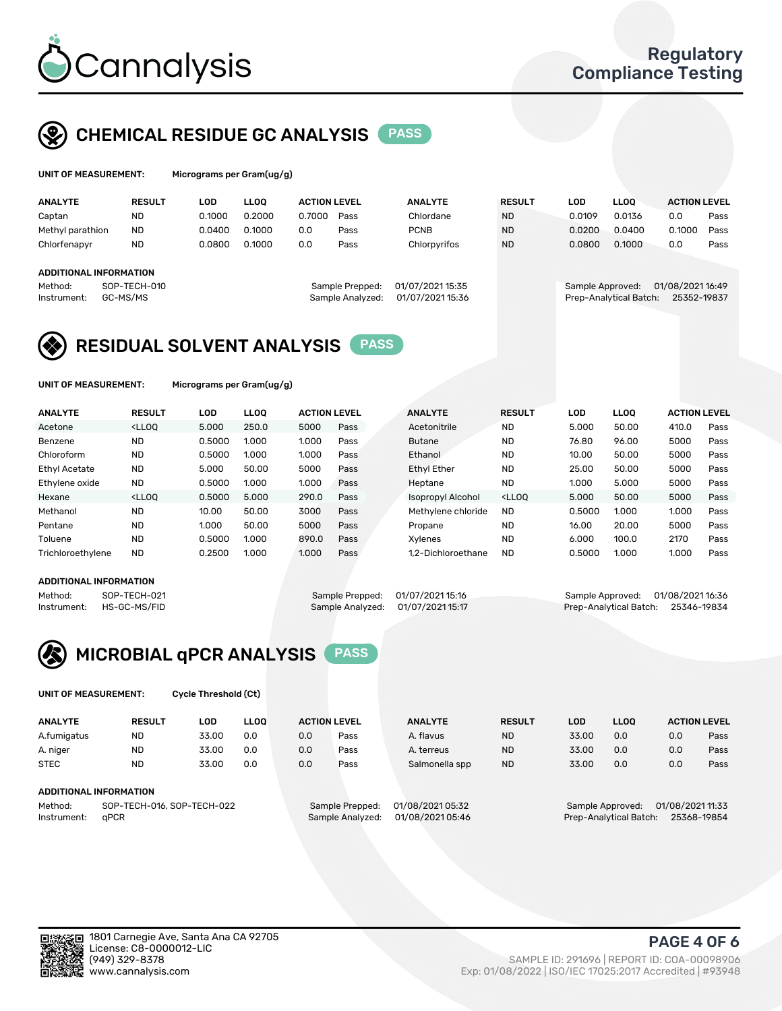

## CHEMICAL RESIDUE GC ANALYSIS PASS

| UNIT OF MEASUREMENT: | <b>Micrograms</b> |
|----------------------|-------------------|
|                      |                   |

per Gram(ug/g)

| <b>ANALYTE</b>         | <b>RESULT</b> | LOD    | <b>LLOO</b> | <b>ACTION LEVEL</b> |                  | <b>ANALYTE</b>   | <b>RESULT</b> | LOD              | <b>LLOO</b>            | <b>ACTION LEVEL</b> |      |
|------------------------|---------------|--------|-------------|---------------------|------------------|------------------|---------------|------------------|------------------------|---------------------|------|
| Captan                 | <b>ND</b>     | 0.1000 | 0.2000      | 0.7000              | Pass             | Chlordane        | <b>ND</b>     | 0.0109           | 0.0136                 | 0.0                 | Pass |
| Methyl parathion       | <b>ND</b>     | 0.0400 | 0.1000      | 0.0                 | Pass             | <b>PCNB</b>      | <b>ND</b>     | 0.0200           | 0.0400                 | 0.1000              | Pass |
| Chlorfenapyr           | <b>ND</b>     | 0.0800 | 0.1000      | 0.0                 | Pass             | Chlorpyrifos     | <b>ND</b>     | 0.0800           | 0.1000                 | 0.0                 | Pass |
|                        |               |        |             |                     |                  |                  |               |                  |                        |                     |      |
| ADDITIONAL INFORMATION |               |        |             |                     |                  |                  |               |                  |                        |                     |      |
| Method:                | SOP-TECH-010  |        |             |                     | Sample Prepped:  | 01/07/2021 15:35 |               | Sample Approved: |                        | 01/08/2021 16:49    |      |
| Instrument:            | GC-MS/MS      |        |             |                     | Sample Analyzed: | 01/07/2021 15:36 |               |                  | Prep-Analytical Batch: | 25352-19837         |      |
|                        |               |        |             |                     |                  |                  |               |                  |                        |                     |      |

### RESIDUAL SOLVENT ANALYSIS PASS

UNIT OF MEASUREMENT: Micrograms per Gram(ug/g)

| <b>ANALYTE</b>    | <b>RESULT</b>                                                                                                                                                                               | LOD    | <b>LLOO</b> | <b>ACTION LEVEL</b> |      | <b>ANALYTE</b>     | <b>RESULT</b>                                                               | <b>LOD</b> | <b>LLOO</b> | <b>ACTION LEVEL</b> |      |
|-------------------|---------------------------------------------------------------------------------------------------------------------------------------------------------------------------------------------|--------|-------------|---------------------|------|--------------------|-----------------------------------------------------------------------------|------------|-------------|---------------------|------|
| Acetone           | <lloo< td=""><td>5.000</td><td>250.0</td><td>5000</td><td>Pass</td><td>Acetonitrile</td><td><b>ND</b></td><td>5.000</td><td>50.00</td><td>410.0</td><td>Pass</td></lloo<>                   | 5.000  | 250.0       | 5000                | Pass | Acetonitrile       | <b>ND</b>                                                                   | 5.000      | 50.00       | 410.0               | Pass |
| Benzene           | <b>ND</b>                                                                                                                                                                                   | 0.5000 | 1.000       | 1.000               | Pass | <b>Butane</b>      | <b>ND</b>                                                                   | 76.80      | 96.00       | 5000                | Pass |
| Chloroform        | <b>ND</b>                                                                                                                                                                                   | 0.5000 | 1.000       | 1.000               | Pass | Ethanol            | <b>ND</b>                                                                   | 10.00      | 50.00       | 5000                | Pass |
| Ethyl Acetate     | <b>ND</b>                                                                                                                                                                                   | 5.000  | 50.00       | 5000                | Pass | <b>Ethyl Ether</b> | <b>ND</b>                                                                   | 25.00      | 50.00       | 5000                | Pass |
| Ethylene oxide    | <b>ND</b>                                                                                                                                                                                   | 0.5000 | 1.000       | 1.000               | Pass | Heptane            | <b>ND</b>                                                                   | 1.000      | 5.000       | 5000                | Pass |
| Hexane            | <lloo< td=""><td>0.5000</td><td>5.000</td><td>290.0</td><td>Pass</td><td>Isopropyl Alcohol</td><td><lloo< td=""><td>5.000</td><td>50.00</td><td>5000</td><td>Pass</td></lloo<></td></lloo<> | 0.5000 | 5.000       | 290.0               | Pass | Isopropyl Alcohol  | <lloo< td=""><td>5.000</td><td>50.00</td><td>5000</td><td>Pass</td></lloo<> | 5.000      | 50.00       | 5000                | Pass |
| Methanol          | <b>ND</b>                                                                                                                                                                                   | 10.00  | 50.00       | 3000                | Pass | Methylene chloride | <b>ND</b>                                                                   | 0.5000     | 1.000       | 1.000               | Pass |
| Pentane           | <b>ND</b>                                                                                                                                                                                   | 1.000  | 50.00       | 5000                | Pass | Propane            | <b>ND</b>                                                                   | 16.00      | 20.00       | 5000                | Pass |
| Toluene           | <b>ND</b>                                                                                                                                                                                   | 0.5000 | 1.000       | 890.0               | Pass | Xvlenes            | <b>ND</b>                                                                   | 6.000      | 100.0       | 2170                | Pass |
| Trichloroethylene | <b>ND</b>                                                                                                                                                                                   | 0.2500 | 1.000       | 1.000               | Pass | 1.2-Dichloroethane | <b>ND</b>                                                                   | 0.5000     | 1.000       | 1.000               | Pass |

#### ADDITIONAL INFORMATION

Method: SOP-TECH-021 Sample Prepped: 01/07/2021 15:16 Sample Approved: 01/08/2021 16:36<br>Instrument: HS-GC-MS/FID Sample Analyzed: 01/07/2021 15:17 Prep-Analytical Batch: 25346-19834 Prep-Analytical Batch: 25346-19834



UNIT OF MEASUREMENT: Cycle Threshold (Ct)

| <b>ANALYTE</b>                        | <b>RESULT</b>          | LOD   | <b>LLOO</b> | <b>ACTION LEVEL</b> |                 | <b>ANALYTE</b>   | <b>RESULT</b> | LOD   | <b>LLOO</b>      |                  | <b>ACTION LEVEL</b> |
|---------------------------------------|------------------------|-------|-------------|---------------------|-----------------|------------------|---------------|-------|------------------|------------------|---------------------|
| A.fumigatus                           | <b>ND</b>              | 33.00 | 0.0         | 0.0                 | Pass            | A. flavus        | <b>ND</b>     | 33.00 | 0.0              | 0.0              | Pass                |
| A. niger                              | <b>ND</b>              | 33.00 | 0.0         | 0.0                 | Pass            | A. terreus       | <b>ND</b>     | 33.00 | 0.0              | 0.0              | Pass                |
| <b>STEC</b>                           | <b>ND</b>              | 33.00 | 0.0         | 0.0                 | Pass            | Salmonella spp   | <b>ND</b>     | 33.00 | 0.0              | 0.0              | Pass                |
|                                       | ADDITIONAL INFORMATION |       |             |                     |                 |                  |               |       |                  |                  |                     |
| Method:<br>SOP-TECH-016, SOP-TECH-022 |                        |       |             |                     | Sample Prepped: | 01/08/2021 05:32 |               |       | Sample Approved: | 01/08/2021 11:33 |                     |

Instrument: qPCR Sample Analyzed: 01/08/2021 05:46 Prep-Analytical Batch: 25368-19854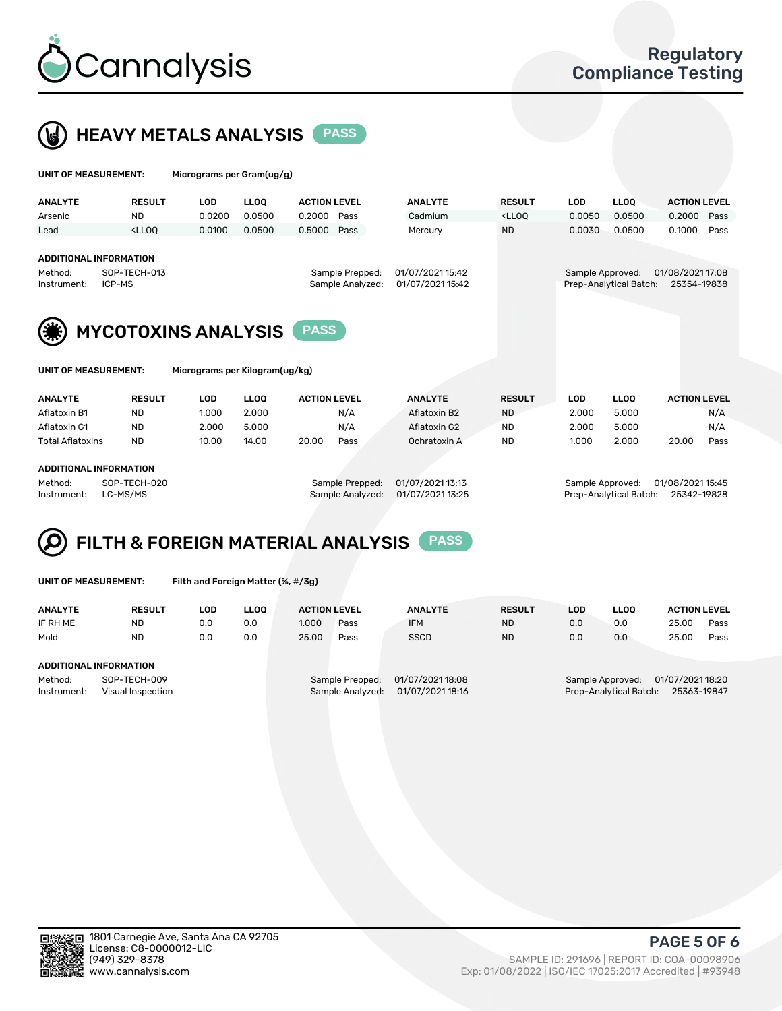



| UNIT OF MEASUREMENT:   |                                                                                                                                                                              | Micrograms per Gram(ug/g) |             |                     |                  |                        |                                                                                 |            |             |                     |      |
|------------------------|------------------------------------------------------------------------------------------------------------------------------------------------------------------------------|---------------------------|-------------|---------------------|------------------|------------------------|---------------------------------------------------------------------------------|------------|-------------|---------------------|------|
| <b>ANALYTE</b>         | <b>RESULT</b>                                                                                                                                                                | LOD                       | <b>LLOQ</b> | <b>ACTION LEVEL</b> |                  | <b>ANALYTE</b>         | <b>RESULT</b>                                                                   | <b>LOD</b> | <b>LLOO</b> | <b>ACTION LEVEL</b> |      |
| Arsenic                | <b>ND</b>                                                                                                                                                                    | 0.0200                    | 0.0500      | 0.2000              | Pass             | Cadmium                | <lloq< td=""><td>0.0050</td><td>0.0500</td><td>0.2000</td><td>Pass</td></lloq<> | 0.0050     | 0.0500      | 0.2000              | Pass |
| Lead                   | <lloo< td=""><td>0.0100</td><td>0.0500</td><td>0.5000 Pass</td><td></td><td>Mercury</td><td><b>ND</b></td><td>0.0030</td><td>0.0500</td><td>0.1000</td><td>Pass</td></lloo<> | 0.0100                    | 0.0500      | 0.5000 Pass         |                  | Mercury                | <b>ND</b>                                                                       | 0.0030     | 0.0500      | 0.1000              | Pass |
| Method:<br>Instrument: | <b>ADDITIONAL INFORMATION</b><br>SOP-TECH-013<br>ICP-MS                                                                                                                      |                           |             |                     | Sample Approved: | Prep-Analytical Batch: | 01/08/2021 17:08<br>25354-19838                                                 |            |             |                     |      |
|                        | <b>MYCOTOXINS ANALYSIS</b>                                                                                                                                                   |                           |             |                     |                  |                        |                                                                                 |            |             |                     |      |
| UNIT OF MEASUREMENT:   |                                                                                                                                                                              |                           |             |                     |                  |                        |                                                                                 |            |             |                     |      |

| <b>ANALYTE</b>          | <b>RESULT</b> | LOD   | <b>LLOO</b>     | <b>ACTION LEVEL</b> | <b>ANALYTE</b> | <b>RESULT</b>    | LOD   | <b>LLOO</b>      | <b>ACTION LEVEL</b> |
|-------------------------|---------------|-------|-----------------|---------------------|----------------|------------------|-------|------------------|---------------------|
| Aflatoxin B1            | ND            | 1.000 | 2.000           | N/A                 | Aflatoxin B2   | <b>ND</b>        | 2.000 | 5.000            | N/A                 |
| Aflatoxin G1            | <b>ND</b>     | 2.000 | 5.000           | N/A                 | Aflatoxin G2   | ND               | 2.000 | 5.000            | N/A                 |
| <b>Total Aflatoxins</b> | <b>ND</b>     | 10.00 | 14.00           | 20.00<br>Pass       | Ochratoxin A   | ND               | 1.000 | 2.000            | 20.00<br>Pass       |
| ADDITIONAL INFORMATION  |               |       |                 |                     |                |                  |       |                  |                     |
| Method:                 | SOP-TECH-020  |       | Sample Prepped: | 01/07/2021 13:13    |                | Sample Approved: |       | 01/08/2021 15:45 |                     |

Instrument: LC-MS/MS Sample Analyzed: 01/07/2021 13:25 Prep-Analytical Batch: 25342-19828

## FILTH & FOREIGN MATERIAL ANALYSIS PASS

UNIT OF MEASUREMENT: Filth and Foreign Matter (%, #/3g)

| <b>ANALYTE</b>                                              | <b>RESULT</b> | LOD | <b>LLOO</b> | <b>ACTION LEVEL</b>                                                         |      |  | <b>ANALYTE</b> | <b>RESULT</b>                                                                 | LOD | LLOO | <b>ACTION LEVEL</b> |      |
|-------------------------------------------------------------|---------------|-----|-------------|-----------------------------------------------------------------------------|------|--|----------------|-------------------------------------------------------------------------------|-----|------|---------------------|------|
| IF RH ME                                                    | <b>ND</b>     | 0.0 | 0.0         | 1.000                                                                       | Pass |  | <b>IFM</b>     | <b>ND</b>                                                                     | 0.0 | 0.0  | 25.00               | Pass |
| Mold                                                        | <b>ND</b>     | 0.0 | 0.0         | 25.00                                                                       | Pass |  | <b>SSCD</b>    | <b>ND</b>                                                                     | 0.0 | 0.0  | 25.00               | Pass |
| ADDITIONAL INFORMATION                                      |               |     |             |                                                                             |      |  |                |                                                                               |     |      |                     |      |
| SOP-TECH-009<br>Method:<br>Instrument:<br>Visual Inspection |               |     |             | 01/07/2021 18:08<br>Sample Prepped:<br>01/07/2021 18:16<br>Sample Analyzed: |      |  |                | 01/07/2021 18:20<br>Sample Approved:<br>Prep-Analytical Batch:<br>25363-19847 |     |      |                     |      |



(949) 329-8378 SAMPLE ID: 291696 | REPORT ID: COA-00098906 Exp: 01/08/2022 | ISO/IEC 17025:2017 Accredited | #93948